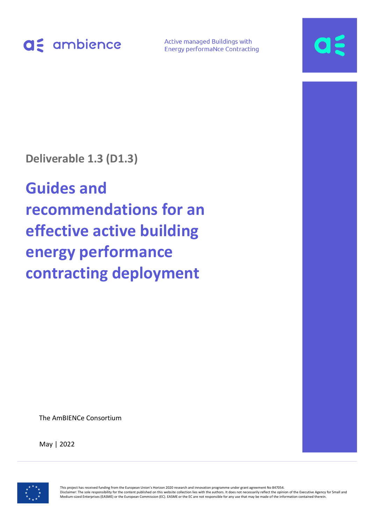

Active managed Buildings with **Energy performaNce Contracting** 



**Deliverable 1.3 (D1.3)**

# **Guides and recommendations for an effective active building energy performance contracting deployment**

The AmBIENCe Consortium

May | 2022

The AmBIENCe Consortium



This project has received funding from the European Union's Horizon 2020 research and innovation programme under grant agreement No 847054. Disclaimer: The sole responsibility for the content published on this website collection lies with the authors. It does not necessarily reflect the opinion of the Executive Agency for Small and<br>Medium-sized Enterprises (EA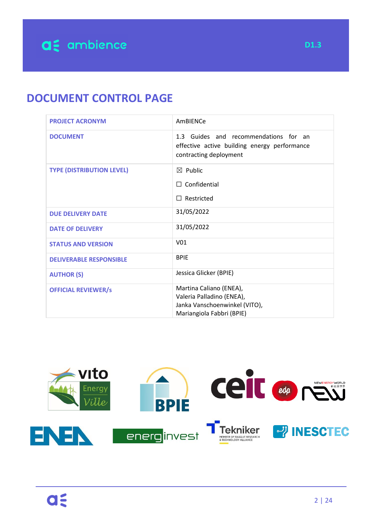## **DOCUMENT CONTROL PAGE**

| <b>PROJECT ACRONYM</b>           | AmBIENCe                                                                                                           |  |
|----------------------------------|--------------------------------------------------------------------------------------------------------------------|--|
| <b>DOCUMENT</b>                  | 1.3 Guides and recommendations for an<br>effective active building energy performance<br>contracting deployment    |  |
| <b>TYPE (DISTRIBUTION LEVEL)</b> | $\boxtimes$ Public<br>$\Box$ Confidential<br>$\Box$ Restricted                                                     |  |
| <b>DUE DELIVERY DATE</b>         | 31/05/2022                                                                                                         |  |
| <b>DATE OF DELIVERY</b>          | 31/05/2022                                                                                                         |  |
| <b>STATUS AND VERSION</b>        | V <sub>01</sub>                                                                                                    |  |
| <b>DELIVERABLE RESPONSIBLE</b>   | <b>BPIE</b>                                                                                                        |  |
| <b>AUTHOR (S)</b>                | Jessica Glicker (BPIE)                                                                                             |  |
| <b>OFFICIAL REVIEWER/S</b>       | Martina Caliano (ENEA),<br>Valeria Palladino (ENEA),<br>Janka Vanschoenwinkel (VITO),<br>Mariangiola Fabbri (BPIE) |  |

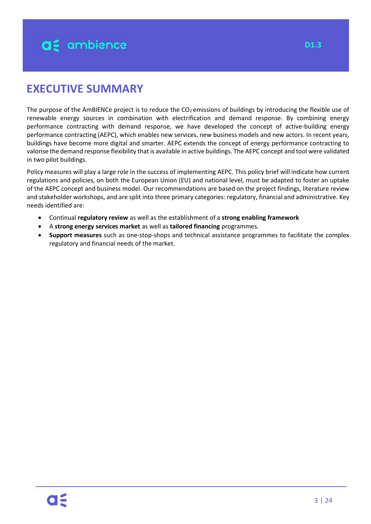## **EXECUTIVE SUMMARY**

The purpose of the AmBIENCe project is to reduce the  $CO<sub>2</sub>$  emissions of buildings by introducing the flexible use of renewable energy sources in combination with electrification and demand response. By combining energy performance contracting with demand response, we have developed the concept of active-building energy performance contracting (AEPC), which enables new services, new business models and new actors. In recent years, buildings have become more digital and smarter. AEPC extends the concept of energy performance contracting to valorise the demand response flexibility that is available in active buildings. The AEPC concept and tool were validated in two pilot buildings.

Policy measures will play a large role in the success of implementing AEPC. This policy brief will indicate how current regulations and policies, on both the European Union (EU) and national level, must be adapted to foster an uptake of the AEPC concept and business model. Our recommendations are based on the project findings, literature review and stakeholder workshops, and are split into three primary categories: regulatory, financial and administrative. Key needs identified are:

- Continual **regulatory review** as well as the establishment of a **strong enabling framework**
- A **strong energy services market** as well as **tailored financing** programmes.
- **Support measures** such as one-stop-shops and technical assistance programmes to facilitate the complex regulatory and financial needs of the market.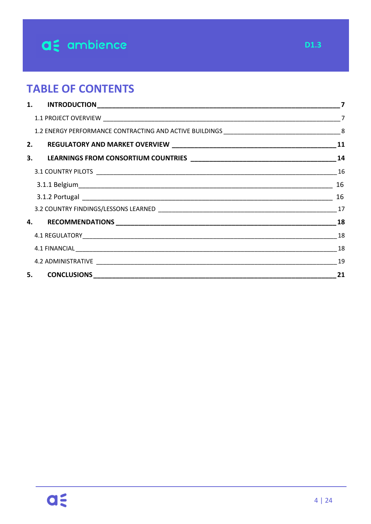# **a** $\epsilon$  ambience

## **TABLE OF CONTENTS**

|  | <u> 2008 - Jan Barbarat, manala</u> |
|--|-------------------------------------|
|  |                                     |
|  |                                     |
|  |                                     |
|  |                                     |
|  |                                     |
|  |                                     |
|  |                                     |
|  |                                     |
|  |                                     |
|  |                                     |
|  |                                     |
|  |                                     |
|  | $\frac{1}{2}$ 21                    |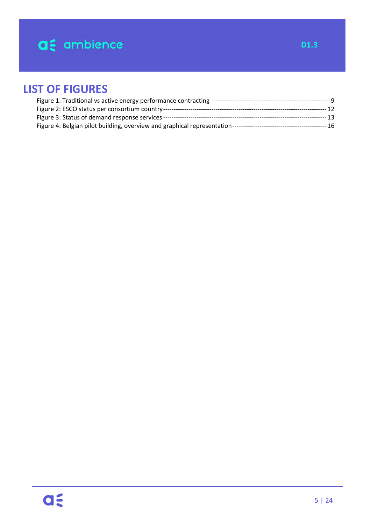## **LIST OF FIGURES**

| ---- 13 |
|---------|
| ---- 16 |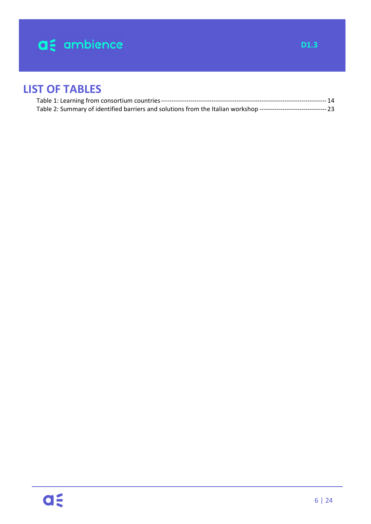## **LIST OF TABLES**

| Table 2: Summary of identified barriers and solutions from the Italian workshop --------------------------------- 23 |  |
|----------------------------------------------------------------------------------------------------------------------|--|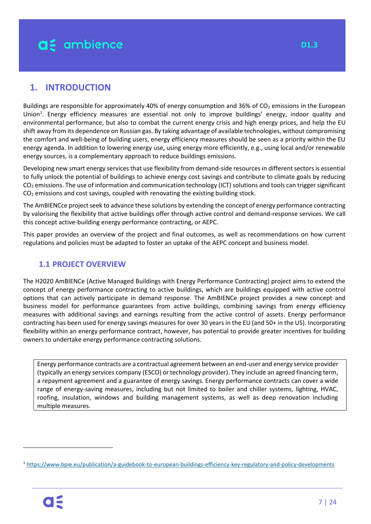## <span id="page-6-0"></span>**1. INTRODUCTION**

Buildings are responsible for approximately 40% of energy consumption and 36% of  $CO<sub>2</sub>$  emissions in the European Union<sup>1</sup>. Energy efficiency measures are essential not only to improve buildings' energy, indoor quality and environmental performance, but also to combat the current energy crisis and high energy prices, and help the EU shift away from its dependence on Russian gas. By taking advantage of available technologies, without compromising the comfort and well-being of building users, energy efficiency measures should be seen as a priority within the EU energy agenda. In addition to lowering energy use, using energy more efficiently, e.g., using local and/or renewable energy sources, is a complementary approach to reduce buildings emissions.

Developing new smart energy services that use flexibility from demand-side resources in different sectors is essential to fully unlock the potential of buildings to achieve energy cost savings and contribute to climate goals by reducing  $CO<sub>2</sub>$  emissions. The use of information and communication technology (ICT) solutions and tools can trigger significant  $CO<sub>2</sub>$  emissions and cost savings, coupled with renovating the existing building stock.

The AmBIENCce project seek to advance these solutions by extending the concept of energy performance contracting by valorising the flexibility that active buildings offer through active control and demand-response services. We call this concept active-building energy performance contracting, or AEPC.

This paper provides an overview of the project and final outcomes, as well as recommendations on how current regulations and policies must be adapted to foster an uptake of the AEPC concept and business model.

### <span id="page-6-1"></span>**1.1 PROJECT OVERVIEW**

The H2020 AmBIENCe (Active Managed Buildings with Energy Performance Contracting) project aims to extend the concept of energy performance contracting to active buildings, which are buildings equipped with active control options that can actively participate in demand response. The AmBIENCe project provides a new concept and business model for performance guarantees from active buildings, combining savings from energy efficiency measures with additional savings and earnings resulting from the active control of assets. Energy performance contracting has been used for energy savings measures for over 30 years in the EU (and 50+ in the US). Incorporating flexibility within an energy performance contract, however, has potential to provide greater incentives for building owners to undertake energy performance contracting solutions.

Energy performance contracts are a contractual agreement between an end-user and energy service provider (typically an energy services company (ESCO) or technology provider). They include an agreed financing term, a repayment agreement and a guarantee of energy savings. Energy performance contracts can cover a wide range of energy-saving measures, including but not limited to boiler and chiller systems, lighting, HVAC, roofing, insulation, windows and building management systems, as well as deep renovation including multiple measures.

<sup>1</sup> [https://www.bpie.eu/publication/a-guidebook-to-european-buildings-efficiency-key-regulatory-and-policy-developments](https://www.bpie.eu/publication/a-guidebook-to-european-buildings-efficiency-key-regulatory-and-policy-developments/)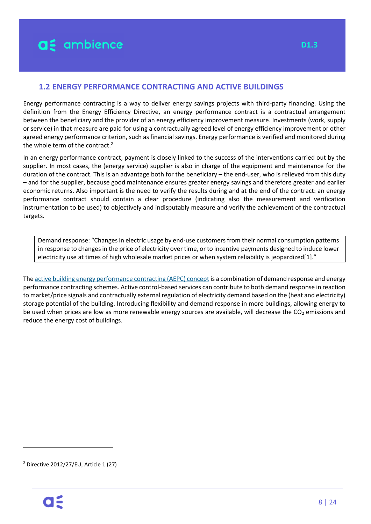### <span id="page-7-0"></span>**1.2 ENERGY PERFORMANCE CONTRACTING AND ACTIVE BUILDINGS**

Energy performance contracting is a way to deliver energy savings projects with third-party financing. Using the definition from the Energy Efficiency Directive, an energy performance contract is a contractual arrangement between the beneficiary and the provider of an energy efficiency improvement measure. Investments (work, supply or service) in that measure are paid for using a contractually agreed level of energy efficiency improvement or other agreed energy performance criterion, such as financial savings. Energy performance is verified and monitored during the whole term of the contract. 2

In an energy performance contract, payment is closely linked to the success of the interventions carried out by the supplier. In most cases, the (energy service) supplier is also in charge of the equipment and maintenance for the duration of the contract. This is an advantage both for the beneficiary – the end-user, who is relieved from this duty – and for the supplier, because good maintenance ensures greater energy savings and therefore greater and earlier economic returns. Also important is the need to verify the results during and at the end of the contract: an energy performance contract should contain a clear procedure (indicating also the measurement and verification instrumentation to be used) to objectively and indisputably measure and verify the achievement of the contractual targets.

Demand response: "Changes in electric usage by end-use customers from their normal consumption patterns in response to changes in the price of electricity over time, or to incentive payments designed to induce lower electricity use at times of high wholesale market prices or when system reliability is jeopardized[1]."

The active building [energy performance](https://ambience-project.eu/wp-content/uploads/2020/12/D2.1-The-Active-Building-Energy-Performance-Contract-concept-and-methodology.pdf) contracting (AEPC) concept is a combination of demand response and energy performance contracting schemes. Active control-based services can contribute to both demand response in reaction to market/price signals and contractually external regulation of electricity demand based on the (heat and electricity) storage potential of the building. Introducing flexibility and demand response in more buildings, allowing energy to be used when prices are low as more renewable energy sources are available, will decrease the  $CO<sub>2</sub>$  emissions and reduce the energy cost of buildings.

<sup>2</sup> Directive 2012/27/EU, Article 1 (27)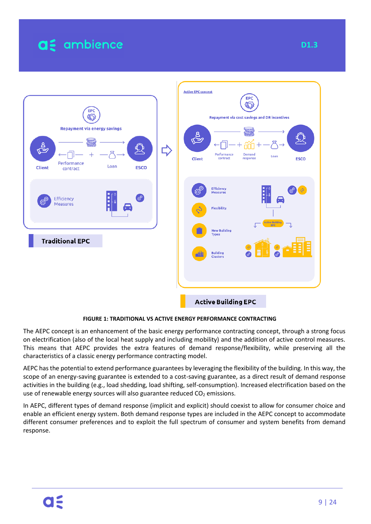**a** sambience



#### **FIGURE 1: TRADITIONAL VS ACTIVE ENERGY PERFORMANCE CONTRACTING**

<span id="page-8-0"></span>The AEPC concept is an enhancement of the basic energy performance contracting concept, through a strong focus on electrification (also of the local heat supply and including mobility) and the addition of active control measures. This means that AEPC provides the extra features of demand response/flexibility, while preserving all the characteristics of a classic energy performance contracting model.

AEPC has the potential to extend performance guarantees by leveraging the flexibility of the building. In this way, the scope of an energy-saving guarantee is extended to a cost-saving guarantee, as a direct result of demand response activities in the building (e.g., load shedding, load shifting, self-consumption). Increased electrification based on the use of renewable energy sources will also guarantee reduced  $CO<sub>2</sub>$  emissions.

In AEPC, different types of demand response (implicit and explicit) should coexist to allow for consumer choice and enable an efficient energy system. Both demand response types are included in the AEPC concept to accommodate different consumer preferences and to exploit the full spectrum of consumer and system benefits from demand response.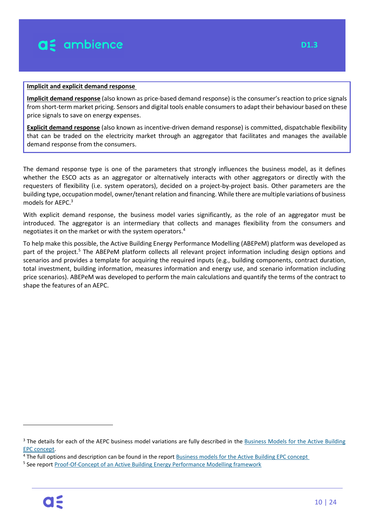

#### **Implicit and explicit demand response**

**Implicit demand response** (also known as price-based demand response) is the consumer's reaction to price signals from short-term market pricing. Sensors and digital tools enable consumers to adapt their behaviour based on these price signals to save on energy expenses.

**Explicit demand response** (also known as incentive-driven demand response) is committed, dispatchable flexibility that can be traded on the electricity market through an aggregator that facilitates and manages the available demand response from the consumers.

The demand response type is one of the parameters that strongly influences the business model, as it defines whether the ESCO acts as an aggregator or alternatively interacts with other aggregators or directly with the requesters of flexibility (i.e. system operators), decided on a project-by-project basis. Other parameters are the building type, occupation model, owner/tenant relation and financing. While there are multiple variations of business models for AEPC. 3

With explicit demand response, the business model varies significantly, as the role of an aggregator must be introduced. The aggregator is an intermediary that collects and manages flexibility from the consumers and negotiates it on the market or with the system operators. 4

To help make this possible, the Active Building Energy Performance Modelling (ABEPeM) platform was developed as part of the project.<sup>5</sup> The ABEPeM platform collects all relevant project information including design options and scenarios and provides a template for acquiring the required inputs (e.g., building components, contract duration, total investment, building information, measures information and energy use, and scenario information including price scenarios). ABEPeM was developed to perform the main calculations and quantify the terms of the contract to shape the features of an AEPC.

<sup>&</sup>lt;sup>3</sup> The details for each of the AEPC business model variations are fully described in the Business Models for the Active Building [EPC concept.](https://ambience-project.eu/wp-content/uploads/2021/05/AmBIENCe_D2.3_Business-Models-for-the-Active-Building-EPC-Concept.pdf)

<sup>&</sup>lt;sup>4</sup> The full options and description can be found in the report **Business models for the Active Building EPC** concept

<sup>&</sup>lt;sup>5</sup> See report <u>Proof-Of-Concept of an Active Building Energy Performance Modelling framework</u>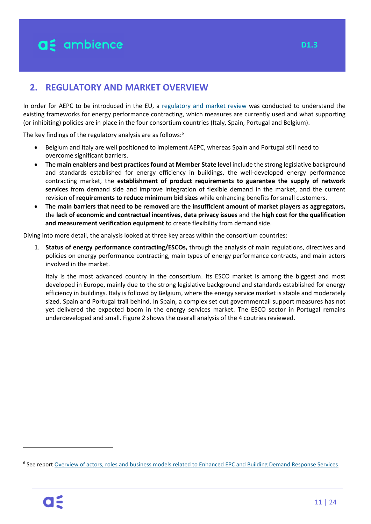## <span id="page-10-0"></span>**2. REGULATORY AND MARKET OVERVIEW**

In order for AEPC to be introduced in the EU, a [regulatory and market review](https://ambience-project.eu/wp-content/uploads/2020/09/AmBIENCe_D1.1_Analysis-of-directives-policies-measures-and-regulation-relevant-for-the-Active-Building-EPC-concept-and-business-models.pdf) was conducted to understand the existing frameworks for energy performance contracting, which measures are currently used and what supporting (or inhibiting) policies are in place in the four consortium countries (Italy, Spain, Portugal and Belgium).

The key findings of the regulatory analysis are as follows: $^6$ 

- Belgium and Italy are well positioned to implement AEPC, whereas Spain and Portugal still need to overcome significant barriers.
- The **main enablers and best practices found at Member State level** include the strong legislative background and standards established for energy efficiency in buildings, the well-developed energy performance contracting market, the **establishment of product requirements to guarantee the supply of network services** from demand side and improve integration of flexible demand in the market, and the current revision of **requirements to reduce minimum bid sizes** while enhancing benefits for small customers.
- The **main barriers that need to be removed** are the **insufficient amount of market players as aggregators,**  the **lack of economic and contractual incentives, data privacy issues** and the **high cost for the qualification and measurement verification equipment** to create flexibility from demand side.

Diving into more detail, the analysis looked at three key areas within the consortium countries:

1. **Status of energy performance contracting/ESCOs,** through the analysis of main regulations, directives and policies on energy performance contracting, main types of energy performance contracts, and main actors involved in the market.

Italy is the most advanced country in the consortium. Its ESCO market is among the biggest and most developed in Europe, mainly due to the strong legislative background and standards established for energy efficiency in buildings. Italy is followd by Belgium, where the energy service market is stable and moderately sized. Spain and Portugal trail behind. In Spain, a complex set out governmentail support measures has not yet delivered the expected boom in the energy services market. The ESCO sector in Portugal remains underdeveloped and small. Figure 2 shows the overall analysis of the 4 coutries reviewed.

<sup>&</sup>lt;sup>6</sup> See report <u>Overview of actors, roles and business models related to Enhanced EPC and Building Demand Response Services</u>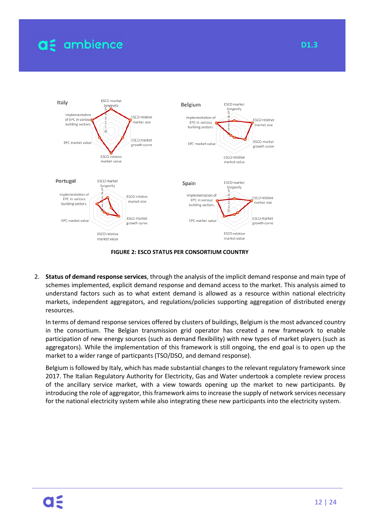



**FIGURE 2: ESCO STATUS PER CONSORTIUM COUNTRY**

<span id="page-11-0"></span>2. **Status of demand response services**, through the analysis of the implicit demand response and main type of schemes implemented, explicit demand response and demand access to the market. This analysis aimed to understand factors such as to what extent demand is allowed as a resource within national electricity markets, independent aggregators, and regulations/policies supporting aggregation of distributed energy resources.

In terms of demand response services offered by clusters of buildings, Belgium is the most advanced country in the consortium. The Belgian transmission grid operator has created a new framework to enable participation of new energy sources (such as demand flexibility) with new types of market players (such as aggregators). While the implementation of this framework is still ongoing, the end goal is to open up the market to a wider range of particpants (TSO/DSO, and demand response).

Belgium is followed by Italy, which has made substantial changes to the relevant regulatory framework since 2017. The Italian Regulatory Authority for Electricity, Gas and Water undertook a complete review process of the ancillary service market, with a view towards opening up the market to new participants. By introducing the role of aggregator, this framework aims to increase the supply of network services necessary for the national electricity system while also integrating these new participants into the electricity system.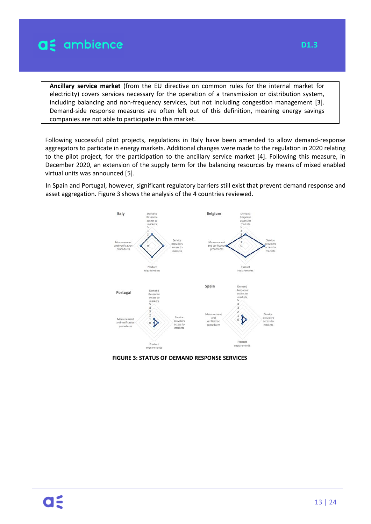

**Ancillary service market** (from the EU directive on common rules for the internal market for electricity) covers services necessary for the operation of a transmission or distribution system, including balancing and non-frequency services, but not including congestion management [3]. Demand-side response measures are often left out of this definition, meaning energy savings companies are not able to participate in this market.

Following successful pilot projects, regulations in Italy have been amended to allow demand-response aggregators to particate in energy markets. Additional changes were made to the regulation in 2020 relating to the pilot project, for the participation to the ancillary service market [4]. Following this measure, in December 2020, an extension of the supply term for the balancing resources by means of mixed enabled virtual units was announced [5].

In Spain and Portugal, however, significant regulatory barriers still exist that prevent demand response and asset aggregation. Figure 3 shows the analysis of the 4 countries reviewed.



<span id="page-12-0"></span>**FIGURE 3: STATUS OF DEMAND RESPONSE SERVICES**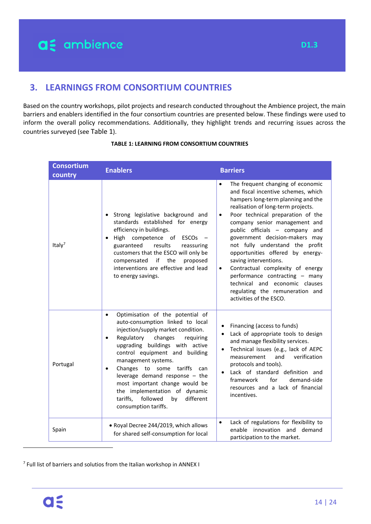## <span id="page-13-0"></span>**3. LEARNINGS FROM CONSORTIUM COUNTRIES**

Based on the country workshops, pilot projects and research conducted throughout the Ambience project, the main barriers and enablers identified in the four consortium countries are presented below. These findings were used to inform the overall policy recommendations. Additionally, they highlight trends and recurring issues across the countries surveyed (see [Table 1](#page-13-1)).

<span id="page-13-1"></span>

| <b>Consortium</b><br>country | <b>Enablers</b>                                                                                                                                                                                                                                                                                                                                                                                                                                                                               | <b>Barriers</b>                                                                                                                                                                                                                                                                                                                                                                                                                                                                                                                                                                                             |
|------------------------------|-----------------------------------------------------------------------------------------------------------------------------------------------------------------------------------------------------------------------------------------------------------------------------------------------------------------------------------------------------------------------------------------------------------------------------------------------------------------------------------------------|-------------------------------------------------------------------------------------------------------------------------------------------------------------------------------------------------------------------------------------------------------------------------------------------------------------------------------------------------------------------------------------------------------------------------------------------------------------------------------------------------------------------------------------------------------------------------------------------------------------|
| Italy <sup>7</sup>           | Strong legislative background and<br>٠<br>standards established for energy<br>efficiency in buildings.<br>competence of ESCOs -<br>High<br>$\bullet$<br>guaranteed<br>results<br>reassuring<br>customers that the ESCO will only be<br>the<br>compensated<br>if<br>proposed<br>interventions are effective and lead<br>to energy savings.                                                                                                                                                     | The frequent changing of economic<br>$\bullet$<br>and fiscal incentive schemes, which<br>hampers long-term planning and the<br>realisation of long-term projects.<br>Poor technical preparation of the<br>$\bullet$<br>company senior management and<br>public officials - company and<br>government decision-makers may<br>not fully understand the profit<br>opportunities offered by energy-<br>saving interventions.<br>Contractual complexity of energy<br>$\bullet$<br>performance contracting - many<br>technical and economic clauses<br>regulating the remuneration and<br>activities of the ESCO. |
| Portugal                     | Optimisation of the potential of<br>$\bullet$<br>auto-consumption linked to local<br>injection/supply market condition.<br>Regulatory<br>changes<br>requiring<br>$\bullet$<br>upgrading buildings with active<br>control equipment and building<br>management systems.<br>Changes to some tariffs<br>can<br>$\bullet$<br>leverage demand response - the<br>most important change would be<br>the implementation of dynamic<br>followed<br>different<br>tariffs.<br>by<br>consumption tariffs. | Financing (access to funds)<br>Lack of appropriate tools to design<br>$\bullet$<br>and manage flexibility services.<br>Technical issues (e.g., lack of AEPC<br>verification<br>and<br>measurement<br>protocols and tools).<br>Lack of standard definition and<br>for<br>framework<br>demand-side<br>resources and a lack of financial<br>incentives.                                                                                                                                                                                                                                                        |
| Spain                        | . Royal Decree 244/2019, which allows<br>for shared self-consumption for local                                                                                                                                                                                                                                                                                                                                                                                                                | Lack of regulations for flexibility to<br>$\bullet$<br>enable innovation and<br>demand<br>participation to the market.                                                                                                                                                                                                                                                                                                                                                                                                                                                                                      |

#### **TABLE 1: LEARNING FROM CONSORTIUM COUNTRIES**

 $^7$  Full list of barriers and solutios from the Italian workshop in ANNEX I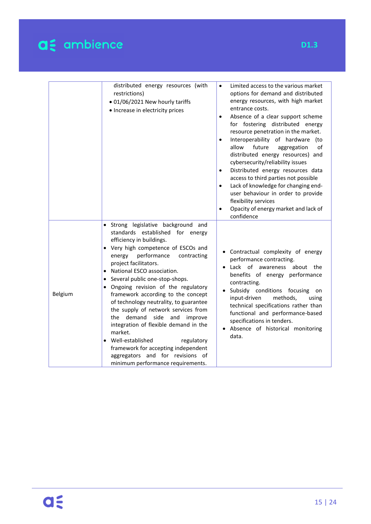

|         | distributed energy resources (with<br>restrictions)<br>· 01/06/2021 New hourly tariffs<br>• Increase in electricity prices                                                                                                                                                                                                                                                                                                                                                                                                                                                                                                                                                                     | Limited access to the various market<br>$\bullet$<br>options for demand and distributed<br>energy resources, with high market<br>entrance costs.<br>Absence of a clear support scheme<br>$\bullet$<br>for fostering distributed energy<br>resource penetration in the market.<br>Interoperability of hardware<br>(to<br>$\bullet$<br>allow<br>future<br>aggregation<br>of<br>distributed energy resources) and<br>cybersecurity/reliability issues<br>Distributed energy resources data<br>$\bullet$<br>access to third parties not possible<br>Lack of knowledge for changing end-<br>$\bullet$<br>user behaviour in order to provide<br>flexibility services<br>Opacity of energy market and lack of<br>$\bullet$<br>confidence |
|---------|------------------------------------------------------------------------------------------------------------------------------------------------------------------------------------------------------------------------------------------------------------------------------------------------------------------------------------------------------------------------------------------------------------------------------------------------------------------------------------------------------------------------------------------------------------------------------------------------------------------------------------------------------------------------------------------------|-----------------------------------------------------------------------------------------------------------------------------------------------------------------------------------------------------------------------------------------------------------------------------------------------------------------------------------------------------------------------------------------------------------------------------------------------------------------------------------------------------------------------------------------------------------------------------------------------------------------------------------------------------------------------------------------------------------------------------------|
| Belgium | · Strong legislative background and<br>standards established for energy<br>efficiency in buildings.<br>• Very high competence of ESCOs and<br>performance<br>contracting<br>energy<br>project facilitators.<br>National ESCO association.<br>Several public one-stop-shops.<br>٠<br>Ongoing revision of the regulatory<br>framework according to the concept<br>of technology neutrality, to guarantee<br>the supply of network services from<br>demand<br>side<br>the<br>and<br>improve<br>integration of flexible demand in the<br>market.<br>Well-established<br>regulatory<br>framework for accepting independent<br>aggregators and for revisions of<br>minimum performance requirements. | • Contractual complexity of energy<br>performance contracting.<br>Lack of awareness about<br>the<br>benefits of energy performance<br>contracting.<br>Subsidy conditions focusing<br>$\bullet$<br>on<br>input-driven<br>methods,<br>using<br>technical specifications rather than<br>functional and performance-based<br>specifications in tenders.<br>Absence of historical monitoring<br>data.                                                                                                                                                                                                                                                                                                                                  |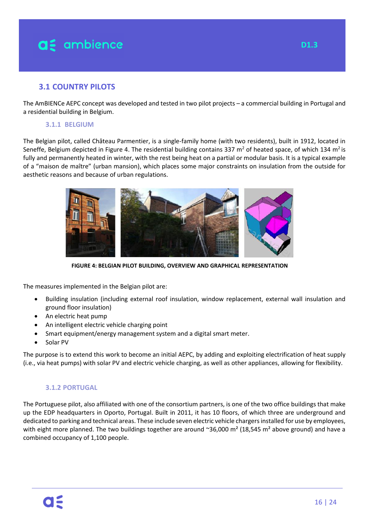### <span id="page-15-0"></span>**3.1 COUNTRY PILOTS**

The AmBIENCe AEPC concept was developed and tested in two pilot projects – a commercial building in Portugal and a residential building in Belgium.

#### <span id="page-15-1"></span>**3.1.1 BELGIUM**

The Belgian pilot, called Château Parmentier, is a single-family home (with two residents), built in 1912, located in Seneffe, Belgium depicted in Figure 4. The residential building contains 337 m<sup>2</sup> of heated space, of which 134 m<sup>2</sup> is fully and permanently heated in winter, with the rest being heat on a partial or modular basis. It is a typical example of a "maison de maître" (urban mansion), which places some major constraints on insulation from the outside for aesthetic reasons and because of urban regulations.



**FIGURE 4: BELGIAN PILOT BUILDING, OVERVIEW AND GRAPHICAL REPRESENTATION**

<span id="page-15-3"></span>The measures implemented in the Belgian pilot are:

- Building insulation (including external roof insulation, window replacement, external wall insulation and ground floor insulation)
- An electric heat pump
- An intelligent electric vehicle charging point
- Smart equipment/energy management system and a digital smart meter.
- Solar PV

The purpose is to extend this work to become an initial AEPC, by adding and exploiting electrification of heat supply (i.e., via heat pumps) with solar PV and electric vehicle charging, as well as other appliances, allowing for flexibility.

#### **3.1.2 PORTUGAL**

<span id="page-15-2"></span>The Portuguese pilot, also affiliated with one of the consortium partners, is one of the two office buildings that make up the EDP headquarters in Oporto, Portugal. Built in 2011, it has 10 floors, of which three are underground and dedicated to parking and technical areas. These include seven electric vehicle chargers installed for use by employees, with eight more planned. The two buildings together are around  $\approx$ 36,000 m<sup>2</sup> (18,545 m<sup>2</sup> above ground) and have a combined occupancy of 1,100 people.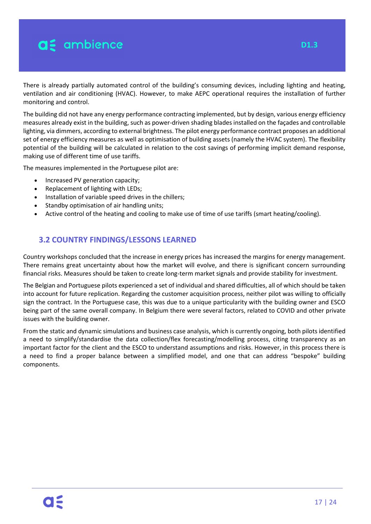## **a** sambience

There is already partially automated control of the building's consuming devices, including lighting and heating, ventilation and air conditioning (HVAC). However, to make AEPC operational requires the installation of further monitoring and control.

The building did not have any energy performance contracting implemented, but by design, various energy efficiency measures already exist in the building, such as power-driven shading blades installed on the façades and controllable lighting, via dimmers, according to external brightness. The pilot energy performance contract proposes an additional set of energy efficiency measures as well as optimisation of building assets (namely the HVAC system). The flexibility potential of the building will be calculated in relation to the cost savings of performing implicit demand response, making use of different time of use tariffs.

The measures implemented in the Portuguese pilot are:

- Increased PV generation capacity;
- Replacement of lighting with LEDs;
- Installation of variable speed drives in the chillers;
- Standby optimisation of air handling units;
- Active control of the heating and cooling to make use of time of use tariffs (smart heating/cooling).

### <span id="page-16-0"></span>**3.2 COUNTRY FINDINGS/LESSONS LEARNED**

Country workshops concluded that the increase in energy prices has increased the margins for energy management. There remains great uncertainty about how the market will evolve, and there is significant concern surrounding financial risks. Measures should be taken to create long-term market signals and provide stability for investment.

The Belgian and Portuguese pilots experienced a set of individual and shared difficulties, all of which should be taken into account for future replication. Regarding the customer acquisition process, neither pilot was willing to officially sign the contract. In the Portuguese case, this was due to a unique particularity with the building owner and ESCO being part of the same overall company. In Belgium there were several factors, related to COVID and other private issues with the building owner.

From the static and dynamic simulations and business case analysis, which is currently ongoing, both pilots identified a need to simplify/standardise the data collection/flex forecasting/modelling process, citing transparency as an important factor for the client and the ESCO to understand assumptions and risks. However, in this process there is a need to find a proper balance between a simplified model, and one that can address "bespoke" building components.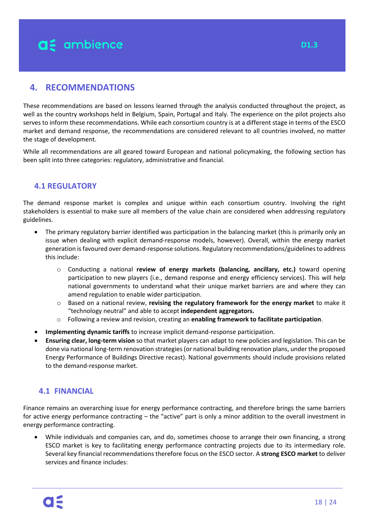## <span id="page-17-0"></span>**4. RECOMMENDATIONS**

These recommendations are based on lessons learned through the analysis conducted throughout the project, as well as the country workshops held in Belgium, Spain, Portugal and Italy. The experience on the pilot projects also serves to inform these recommendations. While each consortium country is at a different stage in terms of the ESCO market and demand response, the recommendations are considered relevant to all countries involved, no matter the stage of development.

While all recommendations are all geared toward European and national policymaking, the following section has been split into three categories: regulatory, administrative and financial.

### <span id="page-17-1"></span>**4.1 REGULATORY**

The demand response market is complex and unique within each consortium country. Involving the right stakeholders is essential to make sure all members of the value chain are considered when addressing regulatory guidelines.

- The primary regulatory barrier identified was participation in the balancing market (this is primarily only an issue when dealing with explicit demand-response models, however). Overall, within the energy market generation is favoured over demand-response solutions. Regulatory recommendations/guidelines to address this include:
	- o Conducting a national **review of energy markets (balancing, ancillary, etc.)** toward opening participation to new players (i.e., demand response and energy efficiency services). This will help national governments to understand what their unique market barriers are and where they can amend regulation to enable wider participation.
	- o Based on a national review, **revising the regulatory framework for the energy market** to make it "technology neutral" and able to accept **independent aggregators.**
	- o Following a review and revision, creating an **enabling framework to facilitate participation**.
- **Implementing dynamic tariffs** to increase implicit demand-response participation.
- **Ensuring clear, long-term vision** so that market players can adapt to new policies and legislation. This can be done via national long-term renovation strategies (or national building renovation plans, under the proposed Energy Performance of Buildings Directive recast). National governments should include provisions related to the demand-response market.

### <span id="page-17-2"></span>**4.1 FINANCIAL**

Finance remains an overarching issue for energy performance contracting, and therefore brings the same barriers for active energy performance contracting – the "active" part is only a minor addition to the overall investment in energy performance contracting.

• While individuals and companies can, and do, sometimes choose to arrange their own financing, a strong ESCO market is key to facilitating energy performance contracting projects due to its intermediary role. Several key financial recommendations therefore focus on the ESCO sector. A **strong ESCO market** to deliver services and finance includes: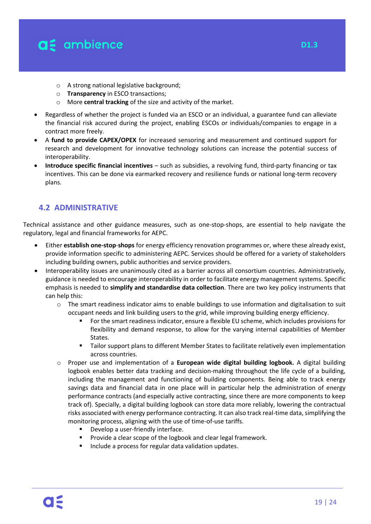## **a** sambience

- o A strong national legislative background;
- o **Transparency** in ESCO transactions;
- o More **central tracking** of the size and activity of the market.
- Regardless of whether the project is funded via an ESCO or an individual, a guarantee fund can alleviate the financial risk accured during the project, enabling ESCOs or individuals/companies to engage in a contract more freely.
- A **fund to provide CAPEX/OPEX** for increased sensoring and measurement and continued support for research and development for innovative technology solutions can increase the potential success of interoperability.
- **Introduce specific financial incentives** such as subsidies, a revolving fund, third-party financing or tax incentives. This can be done via earmarked recovery and resilience funds or national long-term recovery plans.

### <span id="page-18-0"></span>**4.2 ADMINISTRATIVE**

Technical assistance and other guidance measures, such as one-stop-shops, are essential to help navigate the regulatory, legal and financial frameworks for AEPC.

- Either **establish one-stop**-**shops** for energy efficiency renovation programmes or, where these already exist, provide information specific to administering AEPC. Services should be offered for a variety of stakeholders including building owners, public authorities and service providers.
- Interoperability issues are unanimously cited as a barrier across all consortium countries. Administratively, guidance is needed to encourage interoperability in order to facilitate energy management systems. Specific emphasis is needed to **simplify and standardise data collection**. There are two key policy instruments that can help this:
	- $\circ$  The smart readiness indicator aims to enable buildings to use information and digitalisation to suit occupant needs and link building users to the grid, while improving building energy efficiency.
		- For the smart readiness indicator, ensure a flexible EU scheme, which includes provisions for flexibility and demand response, to allow for the varying internal capabilities of Member States.
		- Tailor support plans to different Member States to facilitate relatively even implementation across countries.
	- o Proper use and implementation of a **European wide digital building logbook.** A digital building logbook enables better data tracking and decision-making throughout the life cycle of a building, including the management and functioning of building components. Being able to track energy savings data and financial data in one place will in particular help the administration of energy performance contracts (and especially active contracting, since there are more components to keep track of). Specially, a digital building logbook can store data more reliably, lowering the contractual risks associated with energy performance contracting. It can also track real-time data, simplifying the monitoring process, aligning with the use of time-of-use tariffs.
		- Develop a user-friendly interface.
		- Provide a clear scope of the logbook and clear legal framework.
		- Include a process for regular data validation updates.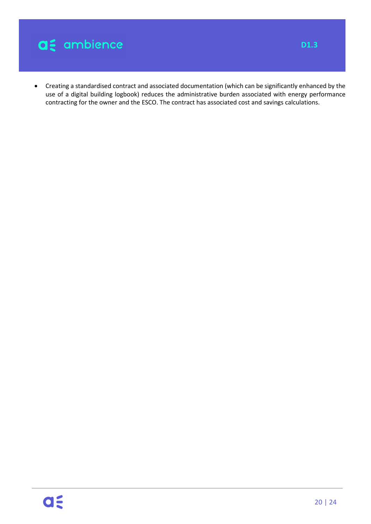

• Creating a standardised contract and associated documentation (which can be significantly enhanced by the use of a digital building logbook) reduces the administrative burden associated with energy performance contracting for the owner and the ESCO. The contract has associated cost and savings calculations.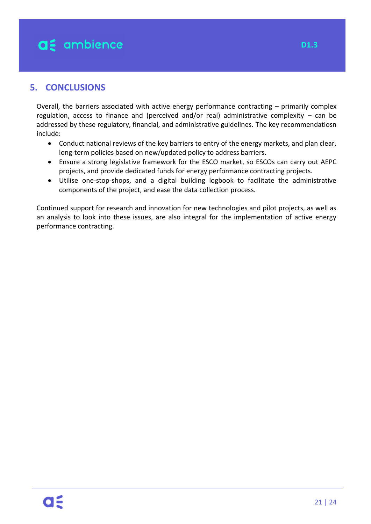## <span id="page-20-0"></span>**5. CONCLUSIONS**

Overall, the barriers associated with active energy performance contracting – primarily complex regulation, access to finance and (perceived and/or real) administrative complexity – can be addressed by these regulatory, financial, and administrative guidelines. The key recommendatiosn include:

- Conduct national reviews of the key barriers to entry of the energy markets, and plan clear, long-term policies based on new/updated policy to address barriers.
- Ensure a strong legislative framework for the ESCO market, so ESCOs can carry out AEPC projects, and provide dedicated funds for energy performance contracting projects.
- Utilise one-stop-shops, and a digital building logbook to facilitate the administrative components of the project, and ease the data collection process.

Continued support for research and innovation for new technologies and pilot projects, as well as an analysis to look into these issues, are also integral for the implementation of active energy performance contracting.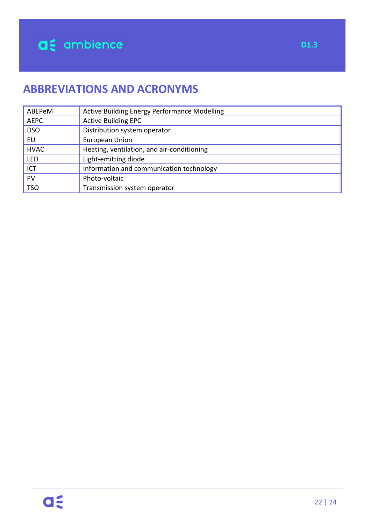## **ABBREVIATIONS AND ACRONYMS**

| ABEPeM      | Active Building Energy Performance Modelling |
|-------------|----------------------------------------------|
| <b>AEPC</b> | <b>Active Building EPC</b>                   |
| <b>DSO</b>  | Distribution system operator                 |
| EU          | <b>European Union</b>                        |
| <b>HVAC</b> | Heating, ventilation, and air-conditioning   |
| <b>LED</b>  | Light-emitting diode                         |
| <b>ICT</b>  | Information and communication technology     |
| PV          | Photo-voltaic                                |
| <b>TSO</b>  | Transmission system operator                 |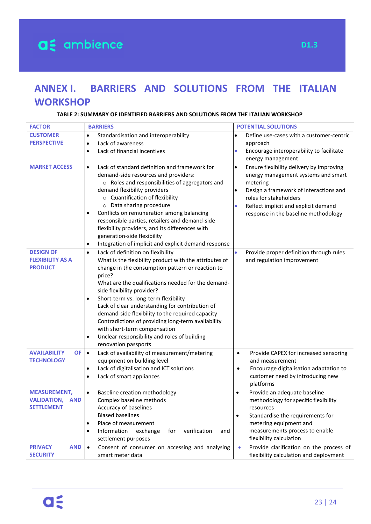| TABLE 2: SUMMARY OF IDENTIFIED BARRIERS AND SOLUTIONS FROM THE ITALIAN WORKSHOP |  |
|---------------------------------------------------------------------------------|--|
|---------------------------------------------------------------------------------|--|

<span id="page-22-0"></span>

| <b>FACTOR</b>                                                      | <b>BARRIERS</b>                                                                                                                                                                                                                                                                                                                                                                                                                                                                                                                                                                                   | <b>POTENTIAL SOLUTIONS</b>                                                                                                                                                                                                                                                |
|--------------------------------------------------------------------|---------------------------------------------------------------------------------------------------------------------------------------------------------------------------------------------------------------------------------------------------------------------------------------------------------------------------------------------------------------------------------------------------------------------------------------------------------------------------------------------------------------------------------------------------------------------------------------------------|---------------------------------------------------------------------------------------------------------------------------------------------------------------------------------------------------------------------------------------------------------------------------|
| <b>CUSTOMER</b><br><b>PERSPECTIVE</b>                              | Standardisation and interoperability<br>$\bullet$<br>Lack of awareness<br>$\bullet$<br>Lack of financial incentives<br>$\bullet$                                                                                                                                                                                                                                                                                                                                                                                                                                                                  | Define use-cases with a customer-centric<br>approach<br>Encourage interoperability to facilitate<br>energy management                                                                                                                                                     |
| <b>MARKET ACCESS</b>                                               | Lack of standard definition and framework for<br>$\bullet$<br>demand-side resources and providers:<br>o Roles and responsibilities of aggregators and<br>demand flexibility providers<br>o Quantification of flexibility<br>o Data sharing procedure<br>Conflicts on remuneration among balancing<br>$\bullet$<br>responsible parties, retailers and demand-side<br>flexibility providers, and its differences with<br>generation-side flexibility<br>Integration of implicit and explicit demand response<br>٠                                                                                   | Ensure flexibility delivery by improving<br>$\bullet$<br>energy management systems and smart<br>metering<br>Design a framework of interactions and<br>$\bullet$<br>roles for stakeholders<br>Reflect implicit and explicit demand<br>response in the baseline methodology |
| <b>DESIGN OF</b><br><b>FLEXIBILITY AS A</b><br><b>PRODUCT</b>      | Lack of definition on flexibility<br>$\bullet$<br>What is the flexibility product with the attributes of<br>change in the consumption pattern or reaction to<br>price?<br>What are the qualifications needed for the demand-<br>side flexibility provider?<br>Short-term vs. long-term flexibility<br>$\bullet$<br>Lack of clear understanding for contribution of<br>demand-side flexibility to the required capacity<br>Contradictions of providing long-term availability<br>with short-term compensation<br>Unclear responsibility and roles of building<br>$\bullet$<br>renovation passports | Provide proper definition through rules<br>and regulation improvement                                                                                                                                                                                                     |
| <b>AVAILABILITY</b><br><b>OF</b><br><b>TECHNOLOGY</b>              | $\bullet$<br>Lack of availability of measurement/metering<br>equipment on building level<br>Lack of digitalisation and ICT solutions<br>$\bullet$<br>Lack of smart appliances<br>$\bullet$                                                                                                                                                                                                                                                                                                                                                                                                        | $\bullet$<br>Provide CAPEX for increased sensoring<br>and measurement<br>Encourage digitalisation adaptation to<br>$\bullet$<br>customer need by introducing new<br>platforms                                                                                             |
| <b>MEASUREMENT,</b><br><b>VALIDATION, AND</b><br><b>SETTLEMENT</b> | Baseline creation methodology<br>$\bullet$<br>Complex baseline methods<br>Accuracy of baselines<br><b>Biased baselines</b><br>Place of measurement<br>٠<br>Information<br>exchange<br>verification<br>for<br>and<br>$\bullet$<br>settlement purposes                                                                                                                                                                                                                                                                                                                                              | Provide an adequate baseline<br>$\bullet$<br>methodology for specific flexibility<br>resources<br>Standardise the requirements for<br>$\bullet$<br>metering equipment and<br>measurements process to enable<br>flexibility calculation                                    |
| <b>PRIVACY</b><br><b>AND</b><br><b>SECURITY</b>                    | $\bullet$<br>Consent of consumer on accessing and analysing<br>smart meter data                                                                                                                                                                                                                                                                                                                                                                                                                                                                                                                   | Provide clarification on the process of<br>$\bullet$<br>flexibility calculation and deployment                                                                                                                                                                            |